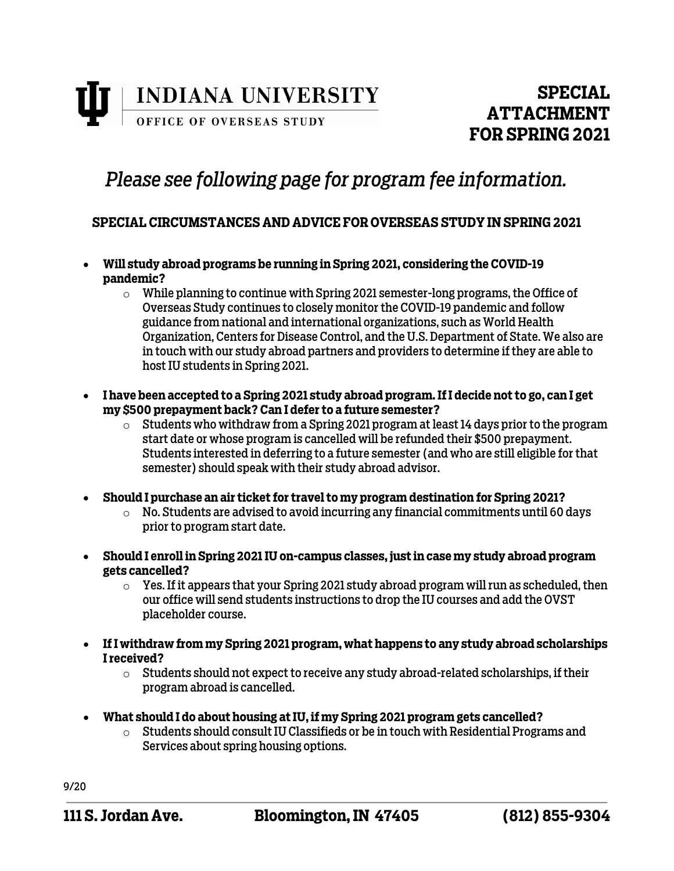

## *Please see following page for program fee information.*

## **SPECIAL CIRCUMSTANCES AND ADVICE FOR OVERSEAS STUDY IN SPRING 2021**

- **Will study abroad programs be running in Spring 2021, considering the COVID-19 pandemic?** 
	- $\circ$  While planning to continue with Spring 2021 semester-long programs, the Office of Overseas Study continues to closely monitor the COVID-19 pandemic and follow guidance from national and international organizations, such as World Health Organization, Centers for Disease Control, and the U.S. Department of State. We also are in touch with our study abroad partners and providers to determine if they are able to host IU students in Spring 2021.
- **I have been accepted to a Spring 2021 study abroad program. If I decide not to go, can I get my \$500 prepayment back? Can I defer to a future semester?**
	- $\circ$  Students who withdraw from a Spring 2021 program at least 14 days prior to the program start date or whose program is cancelled will be refunded their \$500 prepayment. Students interested in deferring to a future semester (and who are still eligible for that semester) should speak with their study abroad advisor.
- **Should I purchase an air ticket for travel to my program destination for Spring 2021?**
	- $\circ$  No. Students are advised to avoid incurring any financial commitments until 60 days prior to program start date.
- **Should I enroll in Spring 2021 IU on-campus classes, just in case my study abroad program gets cancelled?**
	- $\circ$  Yes. If it appears that your Spring 2021 study abroad program will run as scheduled, then our office will send students instructions to drop the IU courses and add the OVST placeholder course.
- **If I withdraw from my Spring 2021 program, what happens to any study abroad scholarships I received?**
	- $\circ$  Students should not expect to receive any study abroad-related scholarships, if their program abroad is cancelled.
- **What should I do about housing at IU, if my Spring 2021 program gets cancelled?**
	- $\circ$  Students should consult IU Classifieds or be in touch with Residential Programs and Services about spring housing options.

9/20